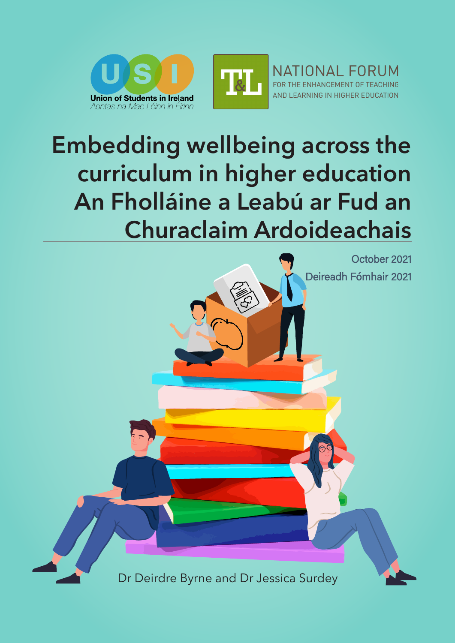



NATIONAL FORUM FOR THE ENHANCEMENT OF TEACHING AND LEARNING IN HIGHER EDUCATION

# **Embedding wellbeing across the curriculum in higher education An Fholláine a Leabú ar Fud an Churaclaim Ardoideachais**

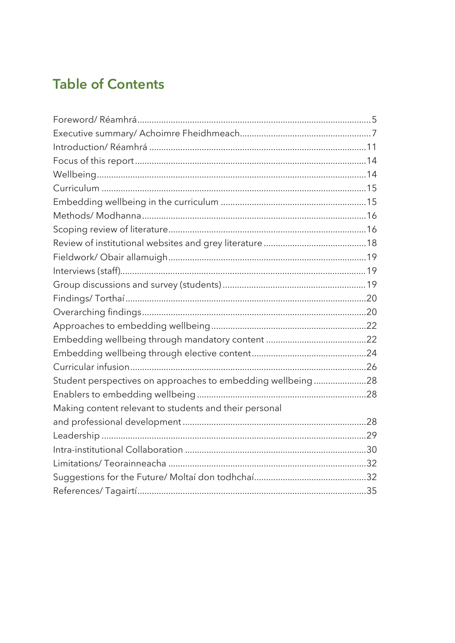### **Table of Contents**

| Student perspectives on approaches to embedding wellbeing28 |  |
|-------------------------------------------------------------|--|
|                                                             |  |
| Making content relevant to students and their personal      |  |
|                                                             |  |
|                                                             |  |
|                                                             |  |
|                                                             |  |
|                                                             |  |
|                                                             |  |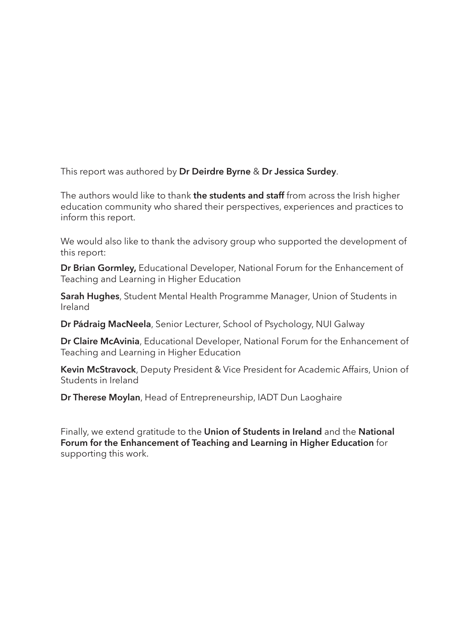This report was authored by **Dr Deirdre Byrne** & **Dr Jessica Surdey**.

The authors would like to thank **the students and staff** from across the Irish higher education community who shared their perspectives, experiences and practices to inform this report.

We would also like to thank the advisory group who supported the development of this report:

**Dr Brian Gormley,** Educational Developer, National Forum for the Enhancement of Teaching and Learning in Higher Education

**Sarah Hughes**, Student Mental Health Programme Manager, Union of Students in Ireland

**Dr Pádraig MacNeela**, Senior Lecturer, School of Psychology, NUI Galway

**Dr Claire McAvinia**, Educational Developer, National Forum for the Enhancement of Teaching and Learning in Higher Education

**Kevin McStravock**, Deputy President & Vice President for Academic Affairs, Union of Students in Ireland

**Dr Therese Moylan**, Head of Entrepreneurship, IADT Dun Laoghaire

Finally, we extend gratitude to the **Union of Students in Ireland** and the **National Forum for the Enhancement of Teaching and Learning in Higher Education** for supporting this work.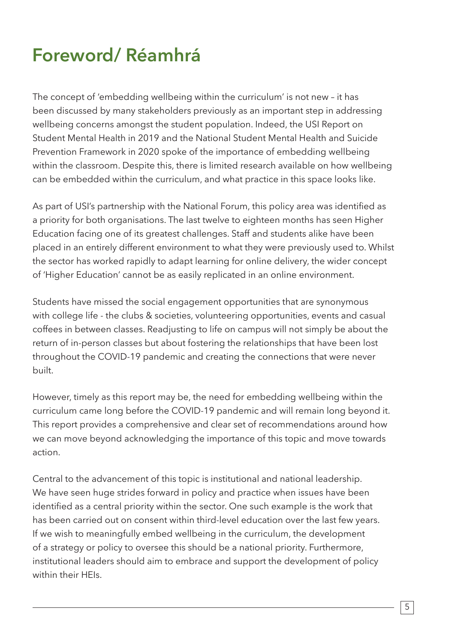# **Foreword/ Réamhrá**

The concept of 'embedding wellbeing within the curriculum' is not new – it has been discussed by many stakeholders previously as an important step in addressing wellbeing concerns amongst the student population. Indeed, the USI Report on Student Mental Health in 2019 and the National Student Mental Health and Suicide Prevention Framework in 2020 spoke of the importance of embedding wellbeing within the classroom. Despite this, there is limited research available on how wellbeing can be embedded within the curriculum, and what practice in this space looks like.

As part of USI's partnership with the National Forum, this policy area was identified as a priority for both organisations. The last twelve to eighteen months has seen Higher Education facing one of its greatest challenges. Staff and students alike have been placed in an entirely different environment to what they were previously used to. Whilst the sector has worked rapidly to adapt learning for online delivery, the wider concept of 'Higher Education' cannot be as easily replicated in an online environment.

Students have missed the social engagement opportunities that are synonymous with college life - the clubs & societies, volunteering opportunities, events and casual coffees in between classes. Readjusting to life on campus will not simply be about the return of in-person classes but about fostering the relationships that have been lost throughout the COVID-19 pandemic and creating the connections that were never built.

However, timely as this report may be, the need for embedding wellbeing within the curriculum came long before the COVID-19 pandemic and will remain long beyond it. This report provides a comprehensive and clear set of recommendations around how we can move beyond acknowledging the importance of this topic and move towards action.

Central to the advancement of this topic is institutional and national leadership. We have seen huge strides forward in policy and practice when issues have been identified as a central priority within the sector. One such example is the work that has been carried out on consent within third-level education over the last few years. If we wish to meaningfully embed wellbeing in the curriculum, the development of a strategy or policy to oversee this should be a national priority. Furthermore, institutional leaders should aim to embrace and support the development of policy within their HEIs.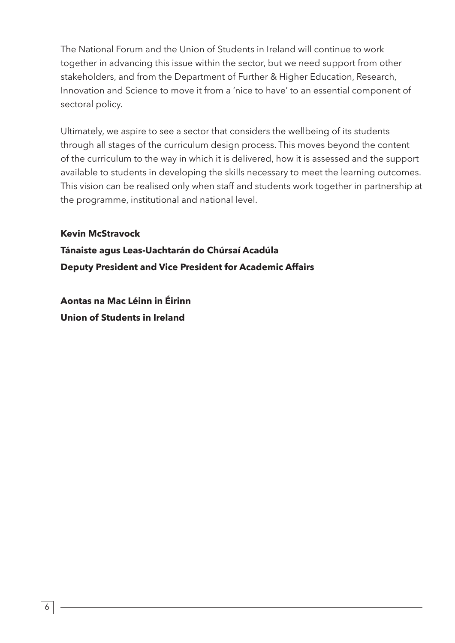The National Forum and the Union of Students in Ireland will continue to work together in advancing this issue within the sector, but we need support from other stakeholders, and from the Department of Further & Higher Education, Research, Innovation and Science to move it from a 'nice to have' to an essential component of sectoral policy.

Ultimately, we aspire to see a sector that considers the wellbeing of its students through all stages of the curriculum design process. This moves beyond the content of the curriculum to the way in which it is delivered, how it is assessed and the support available to students in developing the skills necessary to meet the learning outcomes. This vision can be realised only when staff and students work together in partnership at the programme, institutional and national level.

#### **Kevin McStravock**

**Tánaiste agus Leas-Uachtarán do Chúrsaí Acadúla Deputy President and Vice President for Academic Affairs**

**Aontas na Mac Léinn in Éirinn Union of Students in Ireland**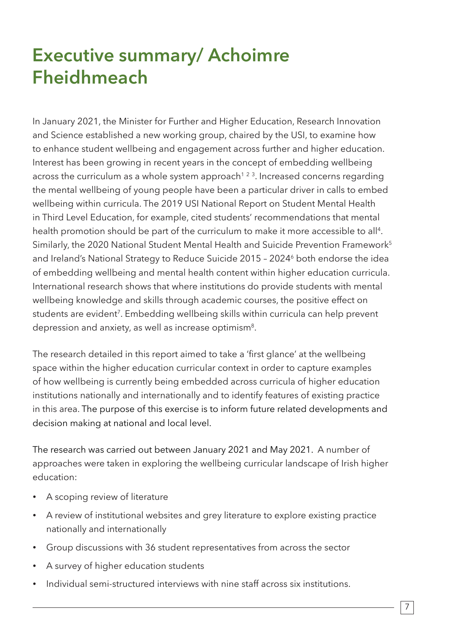# **Executive summary/ Achoimre Fheidhmeach**

In January 2021, the Minister for Further and Higher Education, Research Innovation and Science established a new working group, chaired by the USI, to examine how to enhance student wellbeing and engagement across further and higher education. Interest has been growing in recent years in the concept of embedding wellbeing across the curriculum as a whole system approach<sup> $1, 2, 3$ </sup>. Increased concerns regarding the mental wellbeing of young people have been a particular driver in calls to embed wellbeing within curricula. The 2019 USI National Report on Student Mental Health in Third Level Education, for example, cited students' recommendations that mental health promotion should be part of the curriculum to make it more accessible to all<sup>4</sup>. Similarly, the 2020 National Student Mental Health and Suicide Prevention Framework<sup>5</sup> and Ireland's National Strategy to Reduce Suicide 2015 - 2024<sup>6</sup> both endorse the idea of embedding wellbeing and mental health content within higher education curricula. International research shows that where institutions do provide students with mental wellbeing knowledge and skills through academic courses, the positive effect on students are evident<sup>7</sup>. Embedding wellbeing skills within curricula can help prevent depression and anxiety, as well as increase optimism<sup>8</sup>.

The research detailed in this report aimed to take a 'first glance' at the wellbeing space within the higher education curricular context in order to capture examples of how wellbeing is currently being embedded across curricula of higher education institutions nationally and internationally and to identify features of existing practice in this area. The purpose of this exercise is to inform future related developments and decision making at national and local level.

The research was carried out between January 2021 and May 2021. A number of approaches were taken in exploring the wellbeing curricular landscape of Irish higher education:

- A scoping review of literature
- A review of institutional websites and grey literature to explore existing practice nationally and internationally
- Group discussions with 36 student representatives from across the sector
- A survey of higher education students
- Individual semi-structured interviews with nine staff across six institutions.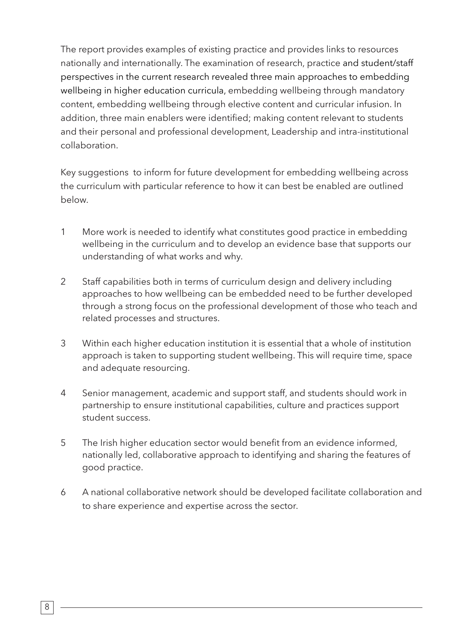The report provides examples of existing practice and provides links to resources nationally and internationally. The examination of research, practice and student/staff perspectives in the current research revealed three main approaches to embedding wellbeing in higher education curricula, embedding wellbeing through mandatory content, embedding wellbeing through elective content and curricular infusion. In addition, three main enablers were identified; making content relevant to students and their personal and professional development, Leadership and intra-institutional collaboration.

Key suggestions to inform for future development for embedding wellbeing across the curriculum with particular reference to how it can best be enabled are outlined below.

- 1 More work is needed to identify what constitutes good practice in embedding wellbeing in the curriculum and to develop an evidence base that supports our understanding of what works and why.
- 2 Staff capabilities both in terms of curriculum design and delivery including approaches to how wellbeing can be embedded need to be further developed through a strong focus on the professional development of those who teach and related processes and structures.
- 3 Within each higher education institution it is essential that a whole of institution approach is taken to supporting student wellbeing. This will require time, space and adequate resourcing.
- 4 Senior management, academic and support staff, and students should work in partnership to ensure institutional capabilities, culture and practices support student success.
- 5 The Irish higher education sector would benefit from an evidence informed, nationally led, collaborative approach to identifying and sharing the features of good practice.
- 6 A national collaborative network should be developed facilitate collaboration and to share experience and expertise across the sector.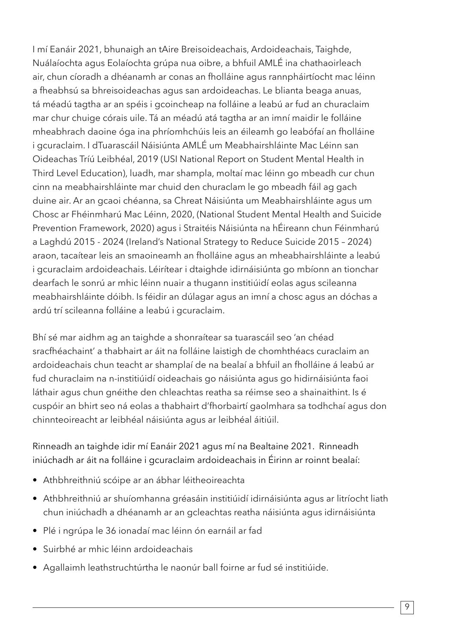I mí Eanáir 2021, bhunaigh an tAire Breisoideachais, Ardoideachais, Taighde, Nuálaíochta agus Eolaíochta grúpa nua oibre, a bhfuil AMLÉ ina chathaoirleach air, chun cíoradh a dhéanamh ar conas an fholláine agus rannpháirtíocht mac léinn a fheabhsú sa bhreisoideachas agus san ardoideachas. Le blianta beaga anuas, tá méadú tagtha ar an spéis i gcoincheap na folláine a leabú ar fud an churaclaim mar chur chuige córais uile. Tá an méadú atá tagtha ar an imní maidir le folláine mheabhrach daoine óga ina phríomhchúis leis an éileamh go leabófaí an fholláine i gcuraclaim. I dTuarascáil Náisiúnta AMLÉ um Meabhairshláinte Mac Léinn san Oideachas Tríú Leibhéal, 2019 (USI National Report on Student Mental Health in Third Level Education), luadh, mar shampla, moltaí mac léinn go mbeadh cur chun cinn na meabhairshláinte mar chuid den churaclam le go mbeadh fáil ag gach duine air. Ar an gcaoi chéanna, sa Chreat Náisiúnta um Meabhairshláinte agus um Chosc ar Fhéinmharú Mac Léinn, 2020, (National Student Mental Health and Suicide Prevention Framework, 2020) agus i Straitéis Náisiúnta na hÉireann chun Féinmharú a Laghdú 2015 - 2024 (Ireland's National Strategy to Reduce Suicide 2015 – 2024) araon, tacaítear leis an smaoineamh an fholláine agus an mheabhairshláinte a leabú i gcuraclaim ardoideachais. Léirítear i dtaighde idirnáisiúnta go mbíonn an tionchar dearfach le sonrú ar mhic léinn nuair a thugann institiúidí eolas agus scileanna meabhairshláinte dóibh. Is féidir an dúlagar agus an imní a chosc agus an dóchas a ardú trí scileanna folláine a leabú i gcuraclaim.

Bhí sé mar aidhm ag an taighde a shonraítear sa tuarascáil seo 'an chéad sracfhéachaint' a thabhairt ar áit na folláine laistigh de chomhthéacs curaclaim an ardoideachais chun teacht ar shamplaí de na bealaí a bhfuil an fholláine á leabú ar fud churaclaim na n-institiúidí oideachais go náisiúnta agus go hidirnáisiúnta faoi láthair agus chun gnéithe den chleachtas reatha sa réimse seo a shainaithint. Is é cuspóir an bhirt seo ná eolas a thabhairt d'fhorbairtí gaolmhara sa todhchaí agus don chinnteoireacht ar leibhéal náisiúnta agus ar leibhéal áitiúil.

#### Rinneadh an taighde idir mí Eanáir 2021 agus mí na Bealtaine 2021. Rinneadh iniúchadh ar áit na folláine i gcuraclaim ardoideachais in Éirinn ar roinnt bealaí:

- Athbhreithniú scóipe ar an ábhar léitheoireachta
- Athbhreithniú ar shuíomhanna gréasáin institiúidí idirnáisiúnta agus ar litríocht liath chun iniúchadh a dhéanamh ar an gcleachtas reatha náisiúnta agus idirnáisiúnta
- Plé i ngrúpa le 36 ionadaí mac léinn ón earnáil ar fad
- Suirbhé ar mhic léinn ardoideachais
- Agallaimh leathstruchtúrtha le naonúr ball foirne ar fud sé institiúide.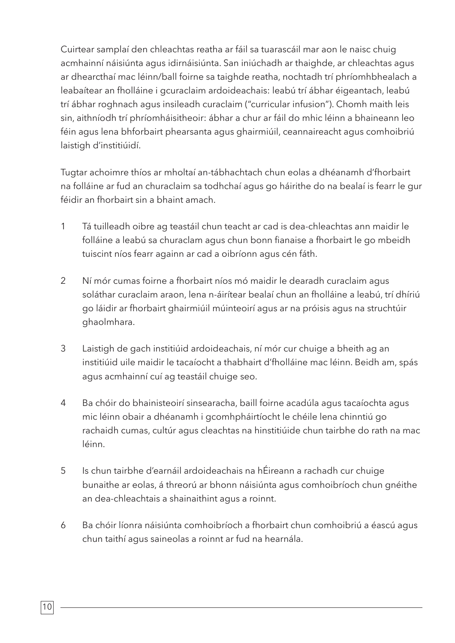Cuirtear samplaí den chleachtas reatha ar fáil sa tuarascáil mar aon le naisc chuig acmhainní náisiúnta agus idirnáisiúnta. San iniúchadh ar thaighde, ar chleachtas agus ar dhearcthaí mac léinn/ball foirne sa taighde reatha, nochtadh trí phríomhbhealach a leabaítear an fholláine i gcuraclaim ardoideachais: leabú trí ábhar éigeantach, leabú trí ábhar roghnach agus insileadh curaclaim ("curricular infusion"). Chomh maith leis sin, aithníodh trí phríomháisitheoir: ábhar a chur ar fáil do mhic léinn a bhaineann leo féin agus lena bhforbairt phearsanta agus ghairmiúil, ceannaireacht agus comhoibriú laistigh d'institiúidí.

Tugtar achoimre thíos ar mholtaí an-tábhachtach chun eolas a dhéanamh d'fhorbairt na folláine ar fud an churaclaim sa todhchaí agus go háirithe do na bealaí is fearr le gur féidir an fhorbairt sin a bhaint amach.

- 1 Tá tuilleadh oibre ag teastáil chun teacht ar cad is dea-chleachtas ann maidir le folláine a leabú sa churaclam agus chun bonn fianaise a fhorbairt le go mbeidh tuiscint níos fearr againn ar cad a oibríonn agus cén fáth.
- 2 Ní mór cumas foirne a fhorbairt níos mó maidir le dearadh curaclaim agus soláthar curaclaim araon, lena n-áirítear bealaí chun an fholláine a leabú, trí dhíriú go láidir ar fhorbairt ghairmiúil múinteoirí agus ar na próisis agus na struchtúir ghaolmhara.
- 3 Laistigh de gach institiúid ardoideachais, ní mór cur chuige a bheith ag an institiúid uile maidir le tacaíocht a thabhairt d'fholláine mac léinn. Beidh am, spás agus acmhainní cuí ag teastáil chuige seo.
- 4 Ba chóir do bhainisteoirí sinsearacha, baill foirne acadúla agus tacaíochta agus mic léinn obair a dhéanamh i gcomhpháirtíocht le chéile lena chinntiú go rachaidh cumas, cultúr agus cleachtas na hinstitiúide chun tairbhe do rath na mac léinn.
- 5 Is chun tairbhe d'earnáil ardoideachais na hÉireann a rachadh cur chuige bunaithe ar eolas, á threorú ar bhonn náisiúnta agus comhoibríoch chun gnéithe an dea-chleachtais a shainaithint agus a roinnt.
- 6 Ba chóir líonra náisiúnta comhoibríoch a fhorbairt chun comhoibriú a éascú agus chun taithí agus saineolas a roinnt ar fud na hearnála.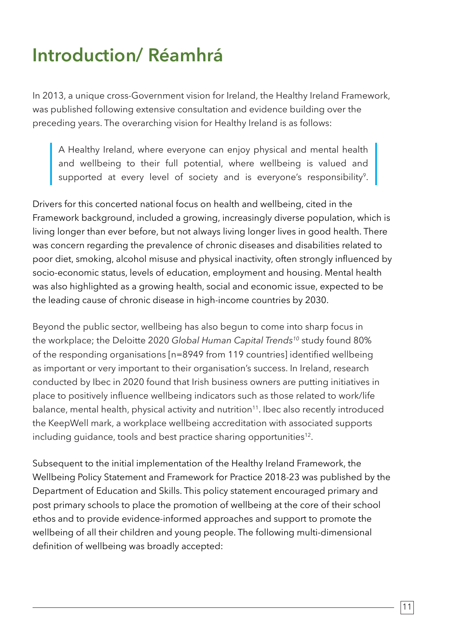# **Introduction/ Réamhrá**

In 2013, a unique cross-Government vision for Ireland, the Healthy Ireland Framework, was published following extensive consultation and evidence building over the preceding years. The overarching vision for Healthy Ireland is as follows:

A Healthy Ireland, where everyone can enjoy physical and mental health and wellbeing to their full potential, where wellbeing is valued and supported at every level of society and is everyone's responsibility<sup>9</sup>.

Drivers for this concerted national focus on health and wellbeing, cited in the Framework background, included a growing, increasingly diverse population, which is living longer than ever before, but not always living longer lives in good health. There was concern regarding the prevalence of chronic diseases and disabilities related to poor diet, smoking, alcohol misuse and physical inactivity, often strongly influenced by socio-economic status, levels of education, employment and housing. Mental health was also highlighted as a growing health, social and economic issue, expected to be the leading cause of chronic disease in high-income countries by 2030.

Beyond the public sector, wellbeing has also begun to come into sharp focus in the workplace; the Deloitte 2020 *Global Human Capital Trends10* study found 80% of the responding organisations [n=8949 from 119 countries] identified wellbeing as important or very important to their organisation's success. In Ireland, research conducted by Ibec in 2020 found that Irish business owners are putting initiatives in place to positively influence wellbeing indicators such as those related to work/life balance, mental health, physical activity and nutrition<sup>11</sup>. Ibec also recently introduced the KeepWell mark, a workplace wellbeing accreditation with associated supports including quidance, tools and best practice sharing opportunities<sup>12</sup>.

Subsequent to the initial implementation of the Healthy Ireland Framework, the Wellbeing Policy Statement and Framework for Practice 2018-23 was published by the Department of Education and Skills. This policy statement encouraged primary and post primary schools to place the promotion of wellbeing at the core of their school ethos and to provide evidence-informed approaches and support to promote the wellbeing of all their children and young people. The following multi-dimensional definition of wellbeing was broadly accepted: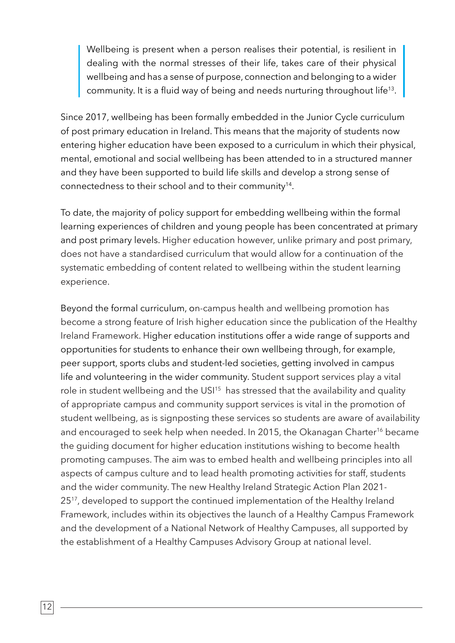Wellbeing is present when a person realises their potential, is resilient in dealing with the normal stresses of their life, takes care of their physical wellbeing and has a sense of purpose, connection and belonging to a wider community. It is a fluid way of being and needs nurturing throughout life<sup>13</sup>.

Since 2017, wellbeing has been formally embedded in the Junior Cycle curriculum of post primary education in Ireland. This means that the majority of students now entering higher education have been exposed to a curriculum in which their physical, mental, emotional and social wellbeing has been attended to in a structured manner and they have been supported to build life skills and develop a strong sense of connectedness to their school and to their community<sup>14</sup>.

To date, the majority of policy support for embedding wellbeing within the formal learning experiences of children and young people has been concentrated at primary and post primary levels. Higher education however, unlike primary and post primary, does not have a standardised curriculum that would allow for a continuation of the systematic embedding of content related to wellbeing within the student learning experience.

Beyond the formal curriculum, on-campus health and wellbeing promotion has become a strong feature of Irish higher education since the publication of the Healthy Ireland Framework. Higher education institutions offer a wide range of supports and opportunities for students to enhance their own wellbeing through, for example, peer support, sports clubs and student-led societies, getting involved in campus life and volunteering in the wider community. Student support services play a vital role in student wellbeing and the USI<sup>15</sup> has stressed that the availability and quality of appropriate campus and community support services is vital in the promotion of student wellbeing, as is signposting these services so students are aware of availability and encouraged to seek help when needed. In 2015, the Okanagan Charter<sup>16</sup> became the guiding document for higher education institutions wishing to become health promoting campuses. The aim was to embed health and wellbeing principles into all aspects of campus culture and to lead health promoting activities for staff, students and the wider community. The new Healthy Ireland Strategic Action Plan 2021- 25<sup>17</sup>, developed to support the continued implementation of the Healthy Ireland Framework, includes within its objectives the launch of a Healthy Campus Framework and the development of a National Network of Healthy Campuses, all supported by the establishment of a Healthy Campuses Advisory Group at national level.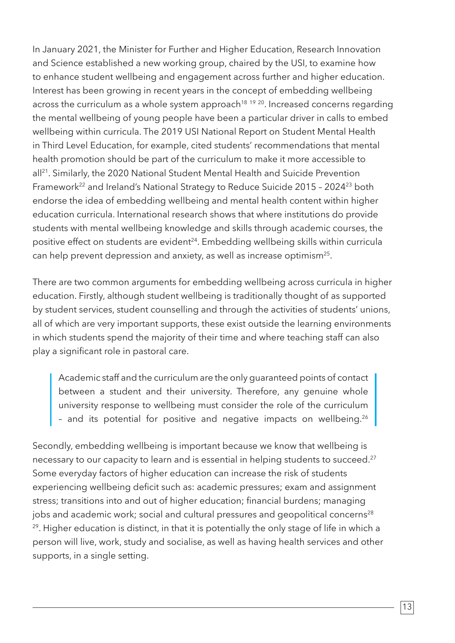In January 2021, the Minister for Further and Higher Education, Research Innovation and Science established a new working group, chaired by the USI, to examine how to enhance student wellbeing and engagement across further and higher education. Interest has been growing in recent years in the concept of embedding wellbeing across the curriculum as a whole system approach<sup>18 19 20</sup>. Increased concerns regarding the mental wellbeing of young people have been a particular driver in calls to embed wellbeing within curricula. The 2019 USI National Report on Student Mental Health in Third Level Education, for example, cited students' recommendations that mental health promotion should be part of the curriculum to make it more accessible to all<sup>21</sup>. Similarly, the 2020 National Student Mental Health and Suicide Prevention Framework<sup>22</sup> and Ireland's National Strategy to Reduce Suicide 2015 - 2024<sup>23</sup> both endorse the idea of embedding wellbeing and mental health content within higher education curricula. International research shows that where institutions do provide students with mental wellbeing knowledge and skills through academic courses, the positive effect on students are evident<sup>24</sup>. Embedding wellbeing skills within curricula can help prevent depression and anxiety, as well as increase optimism<sup>25</sup>.

There are two common arguments for embedding wellbeing across curricula in higher education. Firstly, although student wellbeing is traditionally thought of as supported by student services, student counselling and through the activities of students' unions, all of which are very important supports, these exist outside the learning environments in which students spend the majority of their time and where teaching staff can also play a significant role in pastoral care.

Academic staff and the curriculum are the only guaranteed points of contact between a student and their university. Therefore, any genuine whole university response to wellbeing must consider the role of the curriculum - and its potential for positive and negative impacts on wellbeing.<sup>26</sup>

Secondly, embedding wellbeing is important because we know that wellbeing is necessary to our capacity to learn and is essential in helping students to succeed.<sup>27</sup> Some everyday factors of higher education can increase the risk of students experiencing wellbeing deficit such as: academic pressures; exam and assignment stress; transitions into and out of higher education; financial burdens; managing jobs and academic work; social and cultural pressures and geopolitical concerns<sup>28</sup> <sup>29</sup>. Higher education is distinct, in that it is potentially the only stage of life in which a person will live, work, study and socialise, as well as having health services and other supports, in a single setting.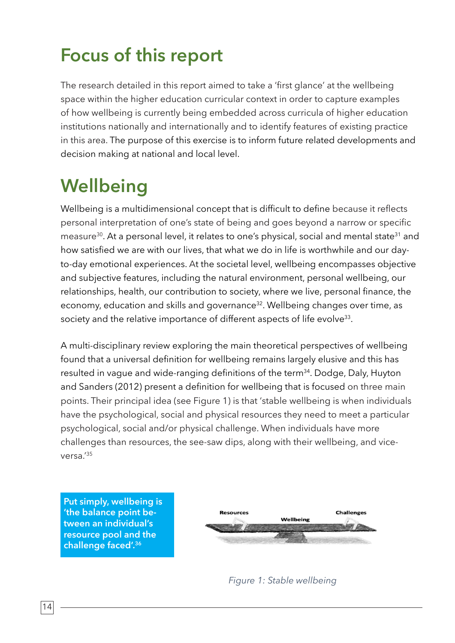# **Focus of this report**

The research detailed in this report aimed to take a 'first glance' at the wellbeing space within the higher education curricular context in order to capture examples of how wellbeing is currently being embedded across curricula of higher education institutions nationally and internationally and to identify features of existing practice in this area. The purpose of this exercise is to inform future related developments and decision making at national and local level.

# **Wellbeing**

Wellbeing is a multidimensional concept that is difficult to define because it reflects personal interpretation of one's state of being and goes beyond a narrow or specific measure<sup>30</sup>. At a personal level, it relates to one's physical, social and mental state<sup>31</sup> and how satisfied we are with our lives, that what we do in life is worthwhile and our dayto-day emotional experiences. At the societal level, wellbeing encompasses objective and subjective features, including the natural environment, personal wellbeing, our relationships, health, our contribution to society, where we live, personal finance, the economy, education and skills and governance<sup>32</sup>. Wellbeing changes over time, as society and the relative importance of different aspects of life evolve<sup>33</sup>.

A multi-disciplinary review exploring the main theoretical perspectives of wellbeing found that a universal definition for wellbeing remains largely elusive and this has resulted in vague and wide-ranging definitions of the term<sup>34</sup>. Dodge, Daly, Huyton and Sanders (2012) present a definition for wellbeing that is focused on three main points. Their principal idea (see Figure 1) is that 'stable wellbeing is when individuals have the psychological, social and physical resources they need to meet a particular psychological, social and/or physical challenge. When individuals have more challenges than resources, the see-saw dips, along with their wellbeing, and viceversa.'35

**Put simply, wellbeing is 'the balance point between an individual's resource pool and the challenge faced'.36**



 *Figure 1: Stable wellbeing*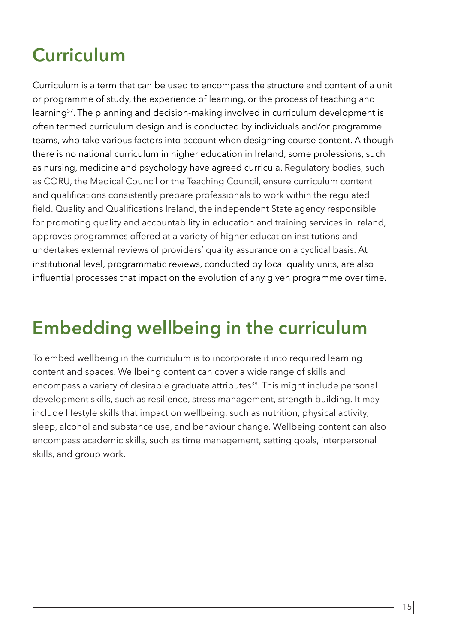# **Curriculum**

Curriculum is a term that can be used to encompass the structure and content of a unit or programme of study, the experience of learning, or the process of teaching and learning37. The planning and decision-making involved in curriculum development is often termed curriculum design and is conducted by individuals and/or programme teams, who take various factors into account when designing course content. Although there is no national curriculum in higher education in Ireland, some professions, such as nursing, medicine and psychology have agreed curricula. Regulatory bodies, such as CORU, the Medical Council or the Teaching Council, ensure curriculum content and qualifications consistently prepare professionals to work within the regulated field. Quality and Qualifications Ireland, the independent State agency responsible for promoting quality and accountability in education and training services in Ireland, approves programmes offered at a variety of higher education institutions and undertakes external reviews of providers' quality assurance on a cyclical basis. At institutional level, programmatic reviews, conducted by local quality units, are also influential processes that impact on the evolution of any given programme over time.

# **Embedding wellbeing in the curriculum**

To embed wellbeing in the curriculum is to incorporate it into required learning content and spaces. Wellbeing content can cover a wide range of skills and encompass a variety of desirable graduate attributes<sup>38</sup>. This might include personal development skills, such as resilience, stress management, strength building. It may include lifestyle skills that impact on wellbeing, such as nutrition, physical activity, sleep, alcohol and substance use, and behaviour change. Wellbeing content can also encompass academic skills, such as time management, setting goals, interpersonal skills, and group work.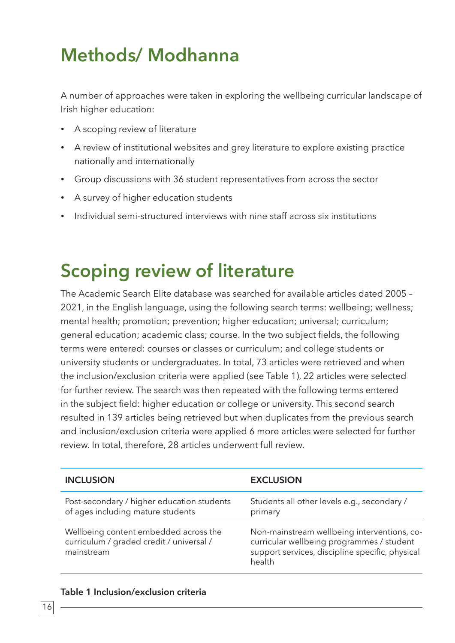### **Methods/ Modhanna**

A number of approaches were taken in exploring the wellbeing curricular landscape of Irish higher education:

- A scoping review of literature
- A review of institutional websites and grey literature to explore existing practice nationally and internationally
- • Group discussions with 36 student representatives from across the sector
- A survey of higher education students
- Individual semi-structured interviews with nine staff across six institutions

### **Scoping review of literature**

The Academic Search Elite database was searched for available articles dated 2005 – 2021, in the English language, using the following search terms: wellbeing; wellness; mental health; promotion; prevention; higher education; universal; curriculum; general education; academic class; course. In the two subject fields, the following terms were entered: courses or classes or curriculum; and college students or university students or undergraduates. In total, 73 articles were retrieved and when the inclusion/exclusion criteria were applied (see Table 1), 22 articles were selected for further review. The search was then repeated with the following terms entered in the subject field: higher education or college or university. This second search resulted in 139 articles being retrieved but when duplicates from the previous search and inclusion/exclusion criteria were applied 6 more articles were selected for further review. In total, therefore, 28 articles underwent full review.

| <b>INCLUSION</b>                                                                                | <b>EXCLUSION</b>                                                                                                                                      |
|-------------------------------------------------------------------------------------------------|-------------------------------------------------------------------------------------------------------------------------------------------------------|
| Post-secondary / higher education students<br>of ages including mature students                 | Students all other levels e.g., secondary /<br>primary                                                                                                |
| Wellbeing content embedded across the<br>curriculum / graded credit / universal /<br>mainstream | Non-mainstream wellbeing interventions, co-<br>curricular wellbeing programmes / student<br>support services, discipline specific, physical<br>health |

#### **Table 1 Inclusion/exclusion criteria**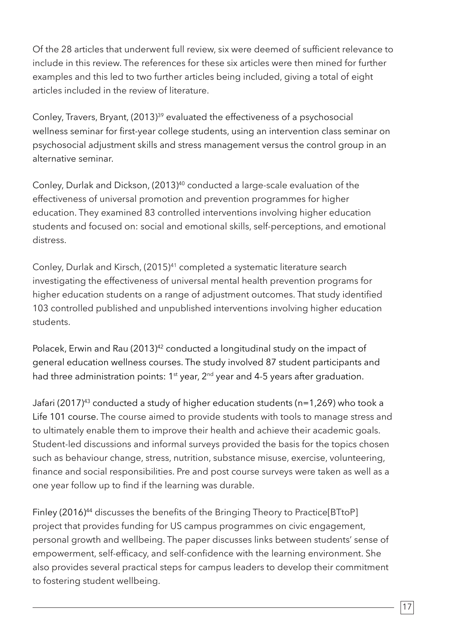Of the 28 articles that underwent full review, six were deemed of sufficient relevance to include in this review. The references for these six articles were then mined for further examples and this led to two further articles being included, giving a total of eight articles included in the review of literature.

Conley, Travers, Bryant, (2013)<sup>39</sup> evaluated the effectiveness of a psychosocial wellness seminar for first-year college students, using an intervention class seminar on psychosocial adjustment skills and stress management versus the control group in an alternative seminar.

Conley, Durlak and Dickson, (2013)<sup>40</sup> conducted a large-scale evaluation of the effectiveness of universal promotion and prevention programmes for higher education. They examined 83 controlled interventions involving higher education students and focused on: social and emotional skills, self-perceptions, and emotional distress.

Conley, Durlak and Kirsch, (2015)<sup>41</sup> completed a systematic literature search investigating the effectiveness of universal mental health prevention programs for higher education students on a range of adjustment outcomes. That study identified 103 controlled published and unpublished interventions involving higher education students.

Polacek, Erwin and Rau (2013)<sup>42</sup> conducted a longitudinal study on the impact of general education wellness courses. The study involved 87 student participants and had three administration points: 1<sup>st</sup> year, 2<sup>nd</sup> year and 4-5 years after graduation.

Jafari (2017)43 conducted a study of higher education students (n=1,269) who took a Life 101 course. The course aimed to provide students with tools to manage stress and to ultimately enable them to improve their health and achieve their academic goals. Student-led discussions and informal surveys provided the basis for the topics chosen such as behaviour change, stress, nutrition, substance misuse, exercise, volunteering, finance and social responsibilities. Pre and post course surveys were taken as well as a one year follow up to find if the learning was durable.

Finley (2016)<sup>44</sup> discusses the benefits of the Bringing Theory to Practice[BTtoP] project that provides funding for US campus programmes on civic engagement, personal growth and wellbeing. The paper discusses links between students' sense of empowerment, self-efficacy, and self-confidence with the learning environment. She also provides several practical steps for campus leaders to develop their commitment to fostering student wellbeing.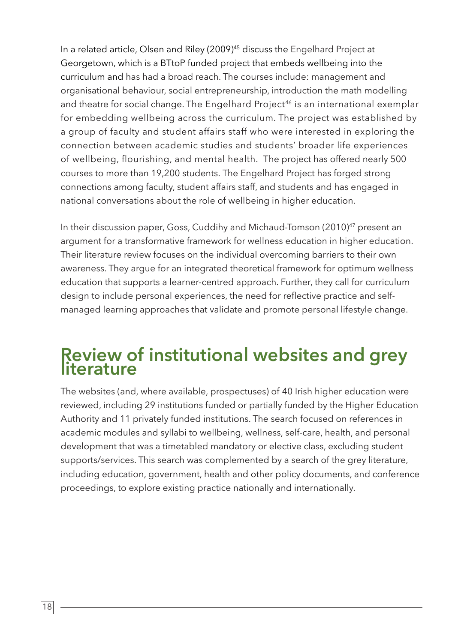In a related article, Olsen and Riley (2009)<sup>45</sup> discuss the Engelhard Project at Georgetown, which is a BTtoP funded project that embeds wellbeing into the curriculum and has had a broad reach. The courses include: management and organisational behaviour, social entrepreneurship, introduction the math modelling and theatre for social change. The Engelhard Project<sup>46</sup> is an international exemplar for embedding wellbeing across the curriculum. The project was established by a group of faculty and student affairs staff who were interested in exploring the connection between academic studies and students' broader life experiences of wellbeing, flourishing, and mental health. The project has offered nearly 500 courses to more than 19,200 students. The Engelhard Project has forged strong connections among faculty, student affairs staff, and students and has engaged in national conversations about the role of wellbeing in higher education.

In their discussion paper, Goss, Cuddihy and Michaud-Tomson (2010)<sup>47</sup> present an argument for a transformative framework for wellness education in higher education. Their literature review focuses on the individual overcoming barriers to their own awareness. They argue for an integrated theoretical framework for optimum wellness education that supports a learner-centred approach. Further, they call for curriculum design to include personal experiences, the need for reflective practice and selfmanaged learning approaches that validate and promote personal lifestyle change.

# **Review of institutional websites and grey literature**

The websites (and, where available, prospectuses) of 40 Irish higher education were reviewed, including 29 institutions funded or partially funded by the Higher Education Authority and 11 privately funded institutions. The search focused on references in academic modules and syllabi to wellbeing, wellness, self-care, health, and personal development that was a timetabled mandatory or elective class, excluding student supports/services. This search was complemented by a search of the grey literature, including education, government, health and other policy documents, and conference proceedings, to explore existing practice nationally and internationally.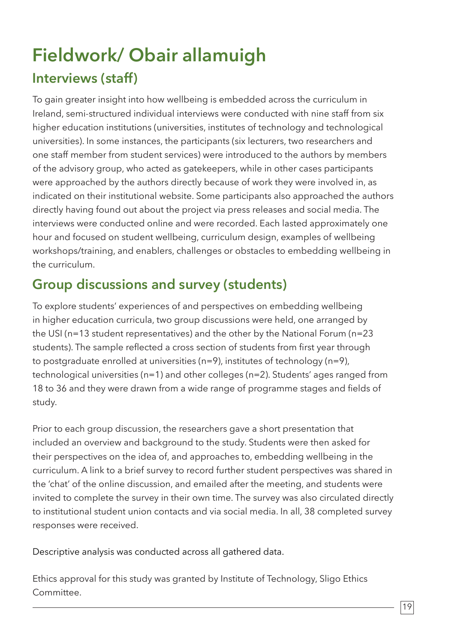# **Fieldwork/ Obair allamuigh Interviews (staff)**

To gain greater insight into how wellbeing is embedded across the curriculum in Ireland, semi-structured individual interviews were conducted with nine staff from six higher education institutions (universities, institutes of technology and technological universities). In some instances, the participants (six lecturers, two researchers and one staff member from student services) were introduced to the authors by members of the advisory group, who acted as gatekeepers, while in other cases participants were approached by the authors directly because of work they were involved in, as indicated on their institutional website. Some participants also approached the authors directly having found out about the project via press releases and social media. The interviews were conducted online and were recorded. Each lasted approximately one hour and focused on student wellbeing, curriculum design, examples of wellbeing workshops/training, and enablers, challenges or obstacles to embedding wellbeing in the curriculum.

### **Group discussions and survey (students)**

To explore students' experiences of and perspectives on embedding wellbeing in higher education curricula, two group discussions were held, one arranged by the USI (n=13 student representatives) and the other by the National Forum (n=23 students). The sample reflected a cross section of students from first year through to postgraduate enrolled at universities (n=9), institutes of technology (n=9), technological universities (n=1) and other colleges (n=2). Students' ages ranged from 18 to 36 and they were drawn from a wide range of programme stages and fields of study.

Prior to each group discussion, the researchers gave a short presentation that included an overview and background to the study. Students were then asked for their perspectives on the idea of, and approaches to, embedding wellbeing in the curriculum. A link to a brief survey to record further student perspectives was shared in the 'chat' of the online discussion, and emailed after the meeting, and students were invited to complete the survey in their own time. The survey was also circulated directly to institutional student union contacts and via social media. In all, 38 completed survey responses were received.

Descriptive analysis was conducted across all gathered data.

Ethics approval for this study was granted by Institute of Technology, Sligo Ethics Committee.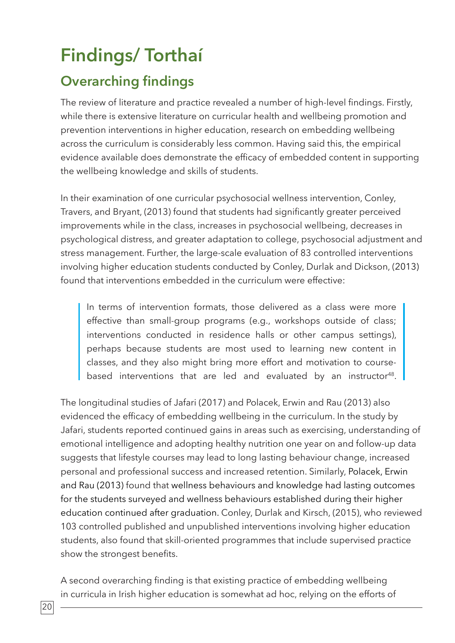# **Findings/ Torthaí**

### **Overarching findings**

The review of literature and practice revealed a number of high-level findings. Firstly, while there is extensive literature on curricular health and wellbeing promotion and prevention interventions in higher education, research on embedding wellbeing across the curriculum is considerably less common. Having said this, the empirical evidence available does demonstrate the efficacy of embedded content in supporting the wellbeing knowledge and skills of students.

In their examination of one curricular psychosocial wellness intervention, Conley, Travers, and Bryant, (2013) found that students had significantly greater perceived improvements while in the class, increases in psychosocial wellbeing, decreases in psychological distress, and greater adaptation to college, psychosocial adjustment and stress management. Further, the large-scale evaluation of 83 controlled interventions involving higher education students conducted by Conley, Durlak and Dickson, (2013) found that interventions embedded in the curriculum were effective:

In terms of intervention formats, those delivered as a class were more effective than small-group programs (e.g., workshops outside of class; interventions conducted in residence halls or other campus settings), perhaps because students are most used to learning new content in classes, and they also might bring more effort and motivation to coursebased interventions that are led and evaluated by an instructor<sup>48</sup>.

The longitudinal studies of Jafari (2017) and Polacek, Erwin and Rau (2013) also evidenced the efficacy of embedding wellbeing in the curriculum. In the study by Jafari, students reported continued gains in areas such as exercising, understanding of emotional intelligence and adopting healthy nutrition one year on and follow-up data suggests that lifestyle courses may lead to long lasting behaviour change, increased personal and professional success and increased retention. Similarly, Polacek, Erwin and Rau (2013) found that wellness behaviours and knowledge had lasting outcomes for the students surveyed and wellness behaviours established during their higher education continued after graduation. Conley, Durlak and Kirsch, (2015), who reviewed 103 controlled published and unpublished interventions involving higher education students, also found that skill-oriented programmes that include supervised practice show the strongest benefits.

A second overarching finding is that existing practice of embedding wellbeing in curricula in Irish higher education is somewhat ad hoc, relying on the efforts of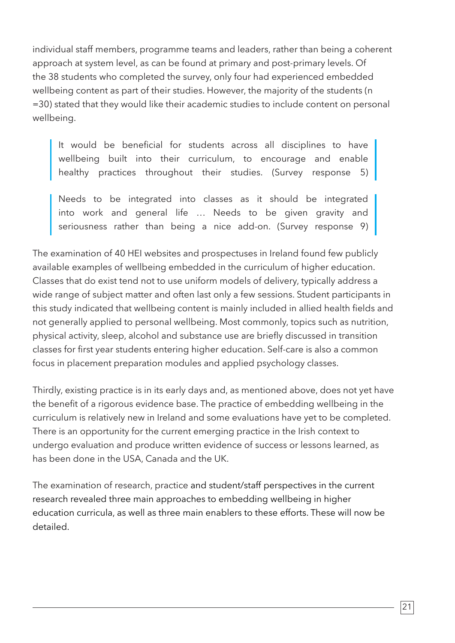individual staff members, programme teams and leaders, rather than being a coherent approach at system level, as can be found at primary and post-primary levels. Of the 38 students who completed the survey, only four had experienced embedded wellbeing content as part of their studies. However, the majority of the students (n =30) stated that they would like their academic studies to include content on personal wellbeing.

It would be beneficial for students across all disciplines to have wellbeing built into their curriculum, to encourage and enable healthy practices throughout their studies. (Survey response 5)

Needs to be integrated into classes as it should be integrated into work and general life … Needs to be given gravity and seriousness rather than being a nice add-on. (Survey response 9)

The examination of 40 HEI websites and prospectuses in Ireland found few publicly available examples of wellbeing embedded in the curriculum of higher education. Classes that do exist tend not to use uniform models of delivery, typically address a wide range of subject matter and often last only a few sessions. Student participants in this study indicated that wellbeing content is mainly included in allied health fields and not generally applied to personal wellbeing. Most commonly, topics such as nutrition, physical activity, sleep, alcohol and substance use are briefly discussed in transition classes for first year students entering higher education. Self-care is also a common focus in placement preparation modules and applied psychology classes.

Thirdly, existing practice is in its early days and, as mentioned above, does not yet have the benefit of a rigorous evidence base. The practice of embedding wellbeing in the curriculum is relatively new in Ireland and some evaluations have yet to be completed. There is an opportunity for the current emerging practice in the Irish context to undergo evaluation and produce written evidence of success or lessons learned, as has been done in the USA, Canada and the UK.

The examination of research, practice and student/staff perspectives in the current research revealed three main approaches to embedding wellbeing in higher education curricula, as well as three main enablers to these efforts. These will now be detailed.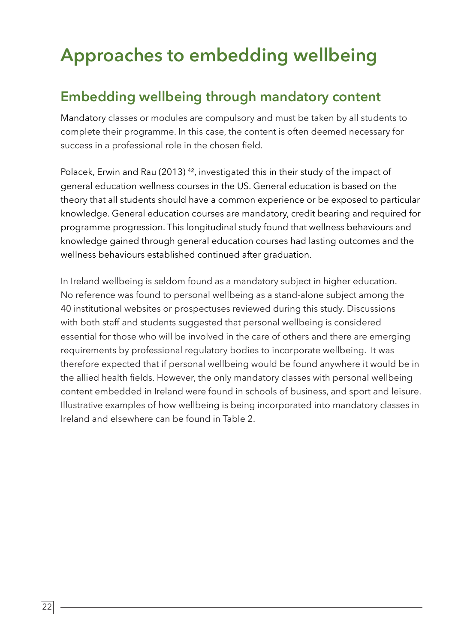# **Approaches to embedding wellbeing**

### **Embedding wellbeing through mandatory content**

Mandatory classes or modules are compulsory and must be taken by all students to complete their programme. In this case, the content is often deemed necessary for success in a professional role in the chosen field.

Polacek, Erwin and Rau (2013)<sup>42</sup>, investigated this in their study of the impact of general education wellness courses in the US. General education is based on the theory that all students should have a common experience or be exposed to particular knowledge. General education courses are mandatory, credit bearing and required for programme progression. This longitudinal study found that wellness behaviours and knowledge gained through general education courses had lasting outcomes and the wellness behaviours established continued after graduation.

In Ireland wellbeing is seldom found as a mandatory subject in higher education. No reference was found to personal wellbeing as a stand-alone subject among the 40 institutional websites or prospectuses reviewed during this study. Discussions with both staff and students suggested that personal wellbeing is considered essential for those who will be involved in the care of others and there are emerging requirements by professional regulatory bodies to incorporate wellbeing. It was therefore expected that if personal wellbeing would be found anywhere it would be in the allied health fields. However, the only mandatory classes with personal wellbeing content embedded in Ireland were found in schools of business, and sport and leisure. Illustrative examples of how wellbeing is being incorporated into mandatory classes in Ireland and elsewhere can be found in Table 2.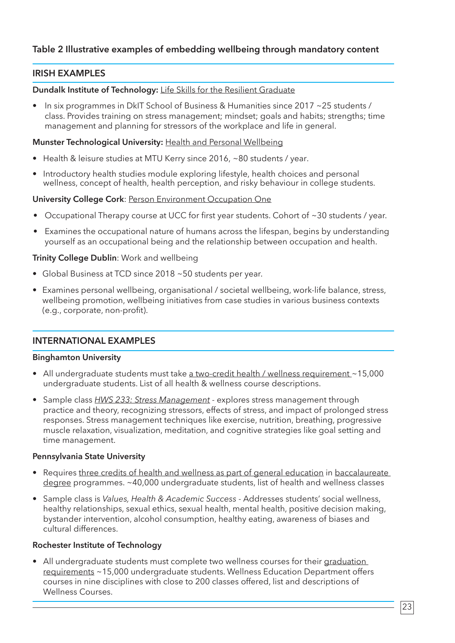#### **Table 2 Illustrative examples of embedding wellbeing through mandatory content**

#### **IRISH EXAMPLES**

#### **Dundalk Institute of Technology:** Life Skills for the Resilient Graduate

• In six programmes in DkIT School of Business & Humanities since 2017 ~25 students / class. Provides training on stress management; mindset; goals and habits; strengths; time management and planning for stressors of the workplace and life in general.

#### **Munster Technological University:** Health and Personal Wellbeing

- Health & leisure studies at MTU Kerry since 2016, ~80 students / year.
- Introductory health studies module exploring lifestyle, health choices and personal wellness, concept of health, health perception, and risky behaviour in college students.

#### **University College Cork: Person Environment Occupation One**

- Occupational Therapy course at UCC for first year students. Cohort of ~30 students / year.
- Examines the occupational nature of humans across the lifespan, begins by understanding yourself as an occupational being and the relationship between occupation and health.

#### **Trinity College Dublin**: Work and wellbeing

- Global Business at TCD since 2018 ~50 students per year.
- Examines personal wellbeing, organisational / societal wellbeing, work-life balance, stress, wellbeing promotion, wellbeing initiatives from case studies in various business contexts (e.g., corporate, non-profit).

#### **INTERNATIONAL EXAMPLES**

#### **Binghamton University**

- All undergraduate students must take a two-credit health / wellness requirement ~15,000 undergraduate students. List of all health & wellness course descriptions.
- Sample class *HWS 233: Stress Management* explores stress management through practice and theory, recognizing stressors, effects of stress, and impact of prolonged stress responses. Stress management techniques like exercise, nutrition, breathing, progressive muscle relaxation, visualization, meditation, and cognitive strategies like goal setting and time management.

#### **Pennsylvania State University**

- Requires three credits of health and wellness as part of general education in baccalaureate degree programmes. ~40,000 undergraduate students, list of health and wellness classes
- Sample class is *Values, Health & Academic Success* Addresses students' social wellness, healthy relationships, sexual ethics, sexual health, mental health, positive decision making, bystander intervention, alcohol consumption, healthy eating, awareness of biases and cultural differences.

#### **Rochester Institute of Technology**

• All undergraduate students must complete two wellness courses for their graduation requirements ~15,000 undergraduate students. Wellness Education Department offers courses in nine disciplines with close to 200 classes offered, list and descriptions of Wellness Courses.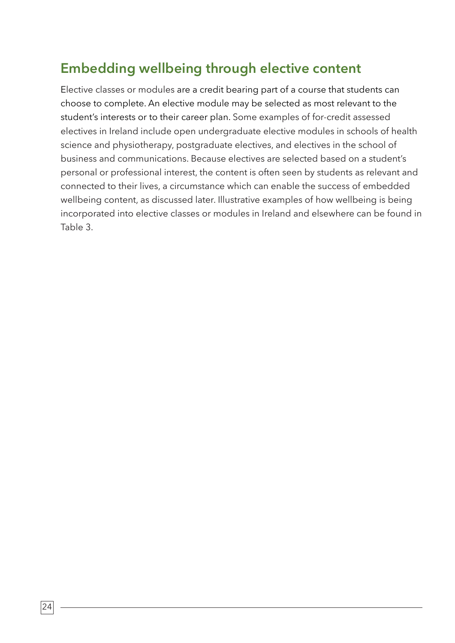### **Embedding wellbeing through elective content**

Elective classes or modules are a credit bearing part of a course that students can choose to complete. An elective module may be selected as most relevant to the student's interests or to their career plan. Some examples of for-credit assessed electives in Ireland include open undergraduate elective modules in schools of health science and physiotherapy, postgraduate electives, and electives in the school of business and communications. Because electives are selected based on a student's personal or professional interest, the content is often seen by students as relevant and connected to their lives, a circumstance which can enable the success of embedded wellbeing content, as discussed later. Illustrative examples of how wellbeing is being incorporated into elective classes or modules in Ireland and elsewhere can be found in Table 3.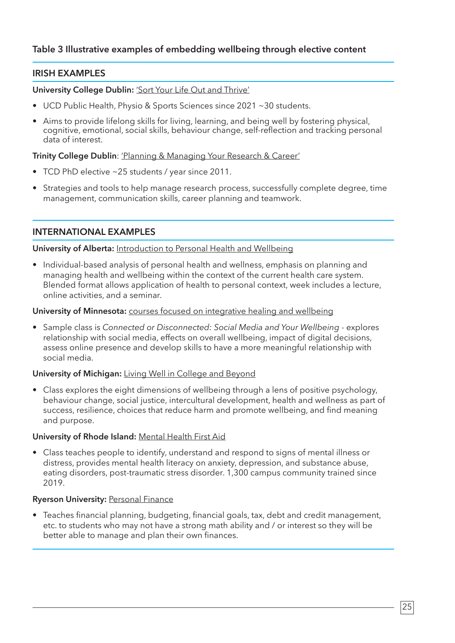#### **Table 3 Illustrative examples of embedding wellbeing through elective content**

#### **IRISH EXAMPLES**

**University College Dublin:** 'Sort Your Life Out and Thrive'

- UCD Public Health, Physio & Sports Sciences since 2021 ~30 students.
- Aims to provide lifelong skills for living, learning, and being well by fostering physical, cognitive, emotional, social skills, behaviour change, self-reflection and tracking personal data of interest.

**Trinity College Dublin**: 'Planning & Managing Your Research & Career'

- TCD PhD elective ~25 students / year since 2011.
- Strategies and tools to help manage research process, successfully complete degree, time management, communication skills, career planning and teamwork.

**INTERNATIONAL EXAMPLES**

#### **University of Alberta:** Introduction to Personal Health and Wellbeing

• Individual-based analysis of personal health and wellness, emphasis on planning and managing health and wellbeing within the context of the current health care system. Blended format allows application of health to personal context, week includes a lecture, online activities, and a seminar.

#### **University of Minnesota:** courses focused on integrative healing and wellbeing

• Sample class is *Connected or Disconnected: Social Media and Your Wellbeing* - explores relationship with social media, effects on overall wellbeing, impact of digital decisions, assess online presence and develop skills to have a more meaningful relationship with social media.

#### **University of Michigan:** Living Well in College and Beyond

• Class explores the eight dimensions of wellbeing through a lens of positive psychology, behaviour change, social justice, intercultural development, health and wellness as part of success, resilience, choices that reduce harm and promote wellbeing, and find meaning and purpose.

#### **University of Rhode Island:** Mental Health First Aid

• Class teaches people to identify, understand and respond to signs of mental illness or distress, provides mental health literacy on anxiety, depression, and substance abuse, eating disorders, post-traumatic stress disorder. 1,300 campus community trained since 2019.

#### **Ryerson University: Personal Finance**

• Teaches financial planning, budgeting, financial goals, tax, debt and credit management, etc. to students who may not have a strong math ability and / or interest so they will be better able to manage and plan their own finances.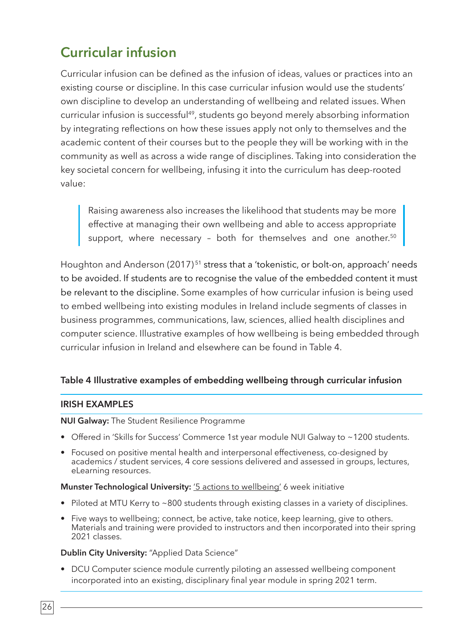### **Curricular infusion**

Curricular infusion can be defined as the infusion of ideas, values or practices into an existing course or discipline. In this case curricular infusion would use the students' own discipline to develop an understanding of wellbeing and related issues. When curricular infusion is successful<sup>49</sup>, students go beyond merely absorbing information by integrating reflections on how these issues apply not only to themselves and the academic content of their courses but to the people they will be working with in the community as well as across a wide range of disciplines. Taking into consideration the key societal concern for wellbeing, infusing it into the curriculum has deep-rooted value:

Raising awareness also increases the likelihood that students may be more effective at managing their own wellbeing and able to access appropriate support, where necessary - both for themselves and one another.<sup>50</sup>

Houghton and Anderson (2017)<sup>51</sup> stress that a 'tokenistic, or bolt-on, approach' needs to be avoided. If students are to recognise the value of the embedded content it must be relevant to the discipline. Some examples of how curricular infusion is being used to embed wellbeing into existing modules in Ireland include segments of classes in business programmes, communications, law, sciences, allied health disciplines and computer science. Illustrative examples of how wellbeing is being embedded through curricular infusion in Ireland and elsewhere can be found in Table 4.

#### **Table 4 Illustrative examples of embedding wellbeing through curricular infusion**

#### **IRISH EXAMPLES**

#### **NUI Galway:** The Student Resilience Programme

- Offered in 'Skills for Success' Commerce 1st year module NUI Galway to ~1200 students.
- Focused on positive mental health and interpersonal effectiveness, co-designed by academics / student services, 4 core sessions delivered and assessed in groups, lectures, eLearning resources.

#### **Munster Technological University:** '5 actions to wellbeing' 6 week initiative

- Piloted at MTU Kerry to ~800 students through existing classes in a variety of disciplines.
- Five ways to wellbeing; connect, be active, take notice, keep learning, give to others. Materials and training were provided to instructors and then incorporated into their spring 2021 classes.

#### **Dublin City University:** "Applied Data Science"

• DCU Computer science module currently piloting an assessed wellbeing component incorporated into an existing, disciplinary final year module in spring 2021 term.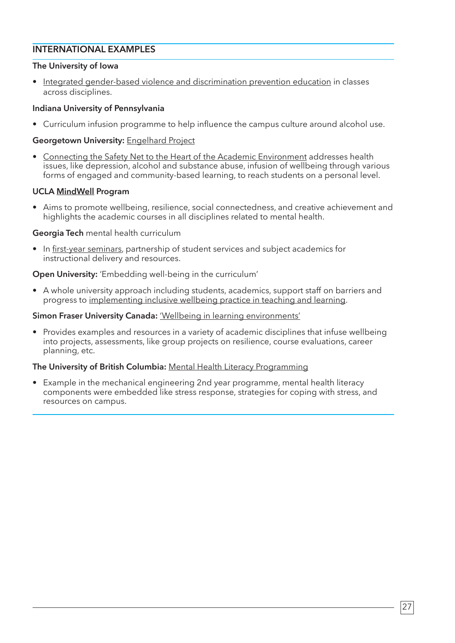#### **INTERNATIONAL EXAMPLES**

#### **The University of Iowa**

• Integrated gender-based violence and discrimination prevention education in classes across disciplines.

#### **Indiana University of Pennsylvania**

• Curriculum infusion programme to help influence the campus culture around alcohol use.

#### **Georgetown University:** Engelhard Project

• Connecting the Safety Net to the Heart of the Academic Environment addresses health issues, like depression, alcohol and substance abuse, infusion of wellbeing through various forms of engaged and community-based learning, to reach students on a personal level.

#### **UCLA MindWell Program**

• Aims to promote wellbeing, resilience, social connectedness, and creative achievement and highlights the academic courses in all disciplines related to mental health.

#### **Georgia Tech** mental health curriculum

• In first-year seminars, partnership of student services and subject academics for instructional delivery and resources.

#### **Open University:** 'Embedding well-being in the curriculum'

• A whole university approach including students, academics, support staff on barriers and progress to implementing inclusive wellbeing practice in teaching and learning.

#### **Simon Fraser University Canada:** 'Wellbeing in learning environments'

• Provides examples and resources in a variety of academic disciplines that infuse wellbeing into projects, assessments, like group projects on resilience, course evaluations, career planning, etc.

#### **The University of British Columbia:** Mental Health Literacy Programming

• Example in the mechanical engineering 2nd year programme, mental health literacy components were embedded like stress response, strategies for coping with stress, and resources on campus.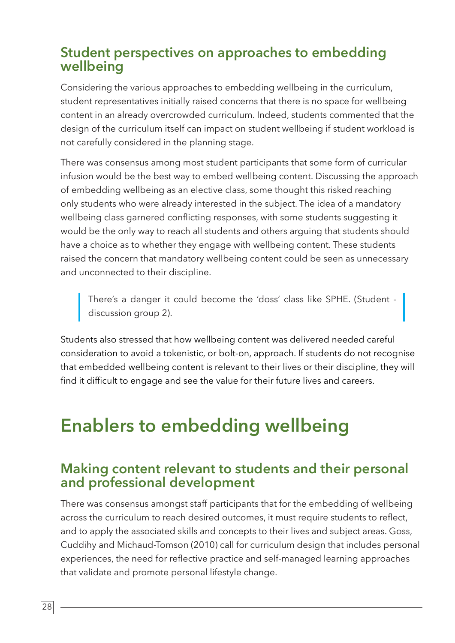### **Student perspectives on approaches to embedding wellbeing**

Considering the various approaches to embedding wellbeing in the curriculum, student representatives initially raised concerns that there is no space for wellbeing content in an already overcrowded curriculum. Indeed, students commented that the design of the curriculum itself can impact on student wellbeing if student workload is not carefully considered in the planning stage.

There was consensus among most student participants that some form of curricular infusion would be the best way to embed wellbeing content. Discussing the approach of embedding wellbeing as an elective class, some thought this risked reaching only students who were already interested in the subject. The idea of a mandatory wellbeing class garnered conflicting responses, with some students suggesting it would be the only way to reach all students and others arguing that students should have a choice as to whether they engage with wellbeing content. These students raised the concern that mandatory wellbeing content could be seen as unnecessary and unconnected to their discipline.

There's a danger it could become the 'doss' class like SPHE. (Student discussion group 2).

Students also stressed that how wellbeing content was delivered needed careful consideration to avoid a tokenistic, or bolt-on, approach. If students do not recognise that embedded wellbeing content is relevant to their lives or their discipline, they will find it difficult to engage and see the value for their future lives and careers.

### **Enablers to embedding wellbeing**

### **Making content relevant to students and their personal and professional development**

There was consensus amongst staff participants that for the embedding of wellbeing across the curriculum to reach desired outcomes, it must require students to reflect, and to apply the associated skills and concepts to their lives and subject areas. Goss, Cuddihy and Michaud-Tomson (2010) call for curriculum design that includes personal experiences, the need for reflective practice and self-managed learning approaches that validate and promote personal lifestyle change.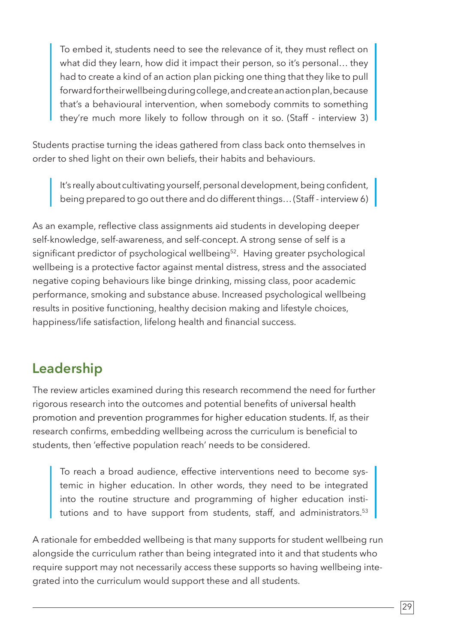To embed it, students need to see the relevance of it, they must reflect on what did they learn, how did it impact their person, so it's personal… they had to create a kind of an action plan picking one thing that they like to pull forward for their wellbeing during college, and create an action plan, because that's a behavioural intervention, when somebody commits to something they're much more likely to follow through on it so. (Staff - interview 3)

Students practise turning the ideas gathered from class back onto themselves in order to shed light on their own beliefs, their habits and behaviours.

It's really about cultivating yourself, personal development, being confident, being prepared to go out there and do different things... (Staff - interview 6) |

As an example, reflective class assignments aid students in developing deeper self-knowledge, self-awareness, and self-concept. A strong sense of self is a significant predictor of psychological wellbeing<sup>52</sup>. Having greater psychological wellbeing is a protective factor against mental distress, stress and the associated negative coping behaviours like binge drinking, missing class, poor academic performance, smoking and substance abuse. Increased psychological wellbeing results in positive functioning, healthy decision making and lifestyle choices, happiness/life satisfaction, lifelong health and financial success.

### **Leadership**

The review articles examined during this research recommend the need for further rigorous research into the outcomes and potential benefits of universal health promotion and prevention programmes for higher education students. If, as their research confirms, embedding wellbeing across the curriculum is beneficial to students, then 'effective population reach' needs to be considered.

To reach a broad audience, effective interventions need to become systemic in higher education. In other words, they need to be integrated into the routine structure and programming of higher education institutions and to have support from students, staff, and administrators.<sup>53</sup>

A rationale for embedded wellbeing is that many supports for student wellbeing run alongside the curriculum rather than being integrated into it and that students who require support may not necessarily access these supports so having wellbeing integrated into the curriculum would support these and all students.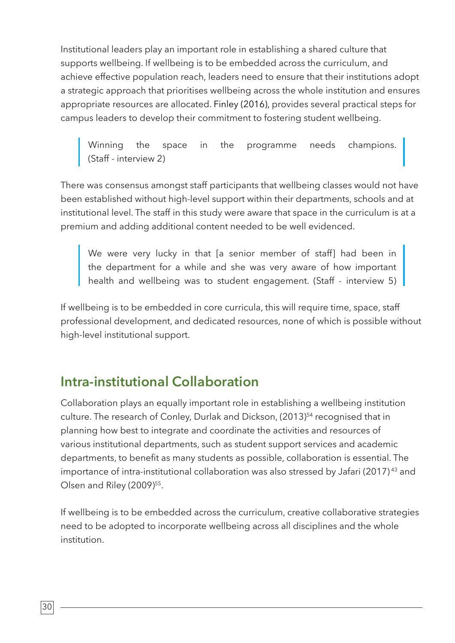Institutional leaders play an important role in establishing a shared culture that supports wellbeing. If wellbeing is to be embedded across the curriculum, and achieve effective population reach, leaders need to ensure that their institutions adopt a strategic approach that prioritises wellbeing across the whole institution and ensures appropriate resources are allocated. Finley (2016), provides several practical steps for campus leaders to develop their commitment to fostering student wellbeing.

Winning the space in the programme needs champions. (Staff - interview 2)

There was consensus amongst staff participants that wellbeing classes would not have been established without high-level support within their departments, schools and at institutional level. The staff in this study were aware that space in the curriculum is at a premium and adding additional content needed to be well evidenced.

We were very lucky in that [a senior member of staff] had been in the department for a while and she was very aware of how important health and wellbeing was to student engagement. (Staff - interview 5)

If wellbeing is to be embedded in core curricula, this will require time, space, staff professional development, and dedicated resources, none of which is possible without high-level institutional support.

### **Intra-institutional Collaboration**

Collaboration plays an equally important role in establishing a wellbeing institution culture. The research of Conley, Durlak and Dickson, (2013)<sup>54</sup> recognised that in planning how best to integrate and coordinate the activities and resources of various institutional departments, such as student support services and academic departments, to benefit as many students as possible, collaboration is essential. The importance of intra-institutional collaboration was also stressed by Jafari (2017)<sup>43</sup> and Olsen and Riley (2009)<sup>55</sup>.

If wellbeing is to be embedded across the curriculum, creative collaborative strategies need to be adopted to incorporate wellbeing across all disciplines and the whole institution.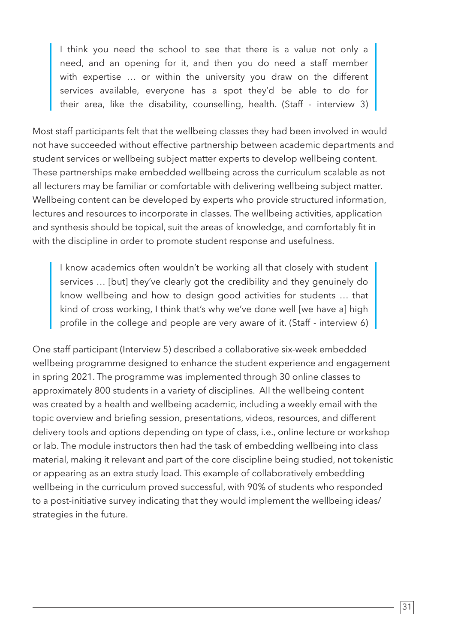I think you need the school to see that there is a value not only a need, and an opening for it, and then you do need a staff member with expertise … or within the university you draw on the different services available, everyone has a spot they'd be able to do for their area, like the disability, counselling, health. (Staff - interview 3)

Most staff participants felt that the wellbeing classes they had been involved in would not have succeeded without effective partnership between academic departments and student services or wellbeing subject matter experts to develop wellbeing content. These partnerships make embedded wellbeing across the curriculum scalable as not all lecturers may be familiar or comfortable with delivering wellbeing subject matter. Wellbeing content can be developed by experts who provide structured information, lectures and resources to incorporate in classes. The wellbeing activities, application and synthesis should be topical, suit the areas of knowledge, and comfortably fit in with the discipline in order to promote student response and usefulness.

I know academics often wouldn't be working all that closely with student services … [but] they've clearly got the credibility and they genuinely do know wellbeing and how to design good activities for students … that kind of cross working, I think that's why we've done well [we have a] high profile in the college and people are very aware of it. (Staff - interview 6)

One staff participant (Interview 5) described a collaborative six-week embedded wellbeing programme designed to enhance the student experience and engagement in spring 2021. The programme was implemented through 30 online classes to approximately 800 students in a variety of disciplines. All the wellbeing content was created by a health and wellbeing academic, including a weekly email with the topic overview and briefing session, presentations, videos, resources, and different delivery tools and options depending on type of class, i.e., online lecture or workshop or lab. The module instructors then had the task of embedding wellbeing into class material, making it relevant and part of the core discipline being studied, not tokenistic or appearing as an extra study load. This example of collaboratively embedding wellbeing in the curriculum proved successful, with 90% of students who responded to a post-initiative survey indicating that they would implement the wellbeing ideas/ strategies in the future.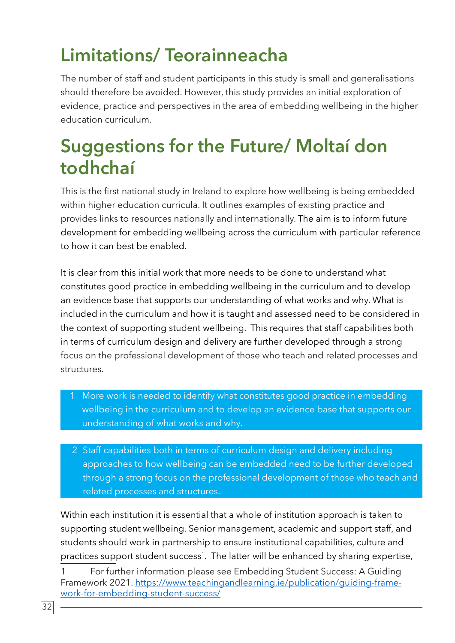# **Limitations/ Teorainneacha**

The number of staff and student participants in this study is small and generalisations should therefore be avoided. However, this study provides an initial exploration of evidence, practice and perspectives in the area of embedding wellbeing in the higher education curriculum.

### **Suggestions for the Future/ Moltaí don todhchaí**

This is the first national study in Ireland to explore how wellbeing is being embedded within higher education curricula. It outlines examples of existing practice and provides links to resources nationally and internationally. The aim is to inform future development for embedding wellbeing across the curriculum with particular reference to how it can best be enabled.

It is clear from this initial work that more needs to be done to understand what constitutes good practice in embedding wellbeing in the curriculum and to develop an evidence base that supports our understanding of what works and why. What is included in the curriculum and how it is taught and assessed need to be considered in the context of supporting student wellbeing. This requires that staff capabilities both in terms of curriculum design and delivery are further developed through a strong focus on the professional development of those who teach and related processes and structures.

- 1 More work is needed to identify what constitutes good practice in embedding wellbeing in the curriculum and to develop an evidence base that supports our understanding of what works and why.
- 2 Staff capabilities both in terms of curriculum design and delivery including approaches to how wellbeing can be embedded need to be further developed through a strong focus on the professional development of those who teach and related processes and structures.

Within each institution it is essential that a whole of institution approach is taken to supporting student wellbeing. Senior management, academic and support staff, and students should work in partnership to ensure institutional capabilities, culture and practices support student success<sup>1</sup>. The latter will be enhanced by sharing expertise,

For further information please see Embedding Student Success: A Guiding Framework 2021. https://www.teachingandlearning.ie/publication/guiding-framework-for-embedding-student-success/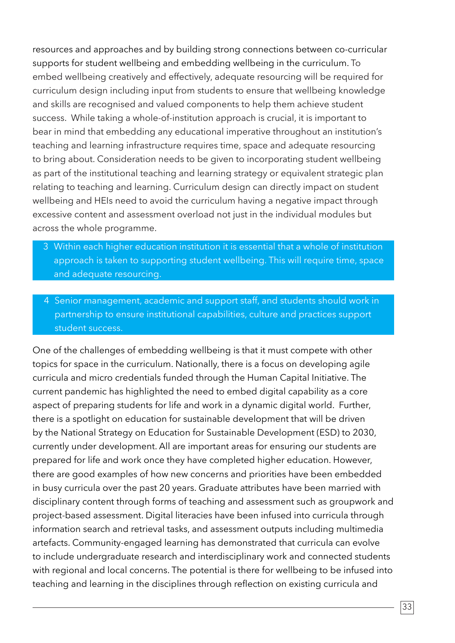resources and approaches and by building strong connections between co-curricular supports for student wellbeing and embedding wellbeing in the curriculum. To embed wellbeing creatively and effectively, adequate resourcing will be required for curriculum design including input from students to ensure that wellbeing knowledge and skills are recognised and valued components to help them achieve student success. While taking a whole-of-institution approach is crucial, it is important to bear in mind that embedding any educational imperative throughout an institution's teaching and learning infrastructure requires time, space and adequate resourcing to bring about. Consideration needs to be given to incorporating student wellbeing as part of the institutional teaching and learning strategy or equivalent strategic plan relating to teaching and learning. Curriculum design can directly impact on student wellbeing and HEIs need to avoid the curriculum having a negative impact through excessive content and assessment overload not just in the individual modules but across the whole programme.

- 3 Within each higher education institution it is essential that a whole of institution approach is taken to supporting student wellbeing. This will require time, space and adequate resourcing.
- 4 Senior management, academic and support staff, and students should work in partnership to ensure institutional capabilities, culture and practices support student success.

One of the challenges of embedding wellbeing is that it must compete with other topics for space in the curriculum. Nationally, there is a focus on developing agile curricula and micro credentials funded through the Human Capital Initiative. The current pandemic has highlighted the need to embed digital capability as a core aspect of preparing students for life and work in a dynamic digital world. Further, there is a spotlight on education for sustainable development that will be driven by the National Strategy on Education for Sustainable Development (ESD) to 2030, currently under development. All are important areas for ensuring our students are prepared for life and work once they have completed higher education. However, there are good examples of how new concerns and priorities have been embedded in busy curricula over the past 20 years. Graduate attributes have been married with disciplinary content through forms of teaching and assessment such as groupwork and project-based assessment. Digital literacies have been infused into curricula through information search and retrieval tasks, and assessment outputs including multimedia artefacts. Community-engaged learning has demonstrated that curricula can evolve to include undergraduate research and interdisciplinary work and connected students with regional and local concerns. The potential is there for wellbeing to be infused into teaching and learning in the disciplines through reflection on existing curricula and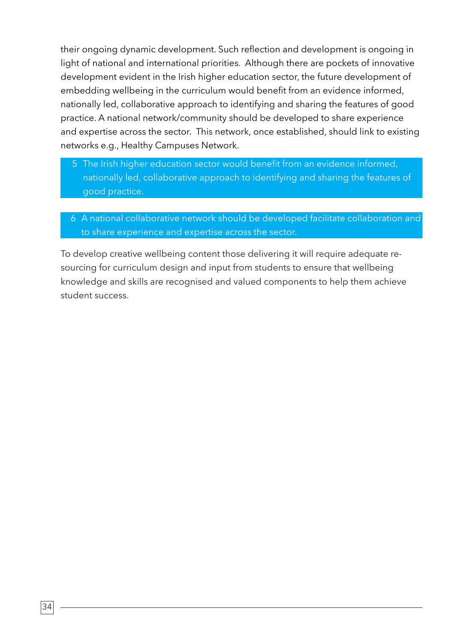their ongoing dynamic development. Such reflection and development is ongoing in light of national and international priorities. Although there are pockets of innovative development evident in the Irish higher education sector, the future development of embedding wellbeing in the curriculum would benefit from an evidence informed, nationally led, collaborative approach to identifying and sharing the features of good practice. A national network/community should be developed to share experience and expertise across the sector. This network, once established, should link to existing networks e.g., Healthy Campuses Network.

- 5 The Irish higher education sector would benefit from an evidence informed, nationally led, collaborative approach to identifying and sharing the features of good practice.
- 6 A national collaborative network should be developed facilitate collaboration and to share experience and expertise across the sector.

To develop creative wellbeing content those delivering it will require adequate resourcing for curriculum design and input from students to ensure that wellbeing knowledge and skills are recognised and valued components to help them achieve student success.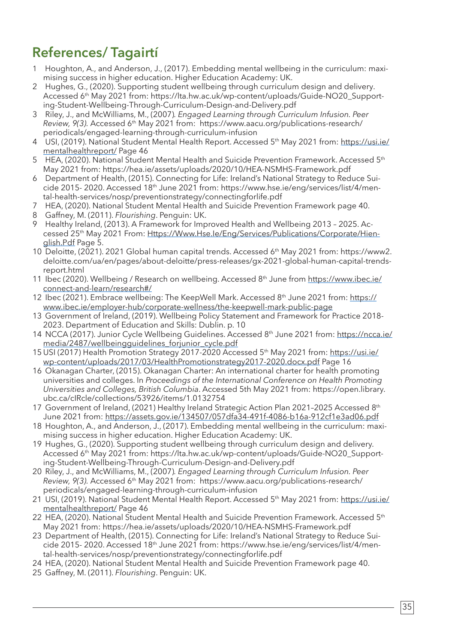### **References/ Tagairtí**

- 1 Houghton, A., and Anderson, J., (2017). Embedding mental wellbeing in the curriculum: maximising success in higher education. Higher Education Academy: UK.
- 2 Hughes, G., (2020). Supporting student wellbeing through curriculum design and delivery. Accessed 6<sup>th</sup> May 2021 from: https://lta.hw.ac.uk/wp-content/uploads/Guide-NO20\_Supporting-Student-Wellbeing-Through-Curriculum-Design-and-Delivery.pdf
- 3 Riley, J., and McWilliams, M., (2007)*. Engaged Learning through Curriculum Infusion. Peer Review, 9(3).* Accessed 6th May 2021 from: https://www.aacu.org/publications-research/ periodicals/engaged-learning-through-curriculum-infusion
- 4 USI, (2019). National Student Mental Health Report. Accessed 5<sup>th</sup> May 2021 from: https://usi.ie/ mentalhealthreport/ Page 46
- 5 HEA, (2020). National Student Mental Health and Suicide Prevention Framework. Accessed 5<sup>th</sup> May 2021 from: https://hea.ie/assets/uploads/2020/10/HEA-NSMHS-Framework.pdf
- 6 Department of Health, (2015). Connecting for Life: Ireland's National Strategy to Reduce Suicide 2015- 2020. Accessed 18th June 2021 from: https://www.hse.ie/eng/services/list/4/mental-health-services/nosp/preventionstrategy/connectingforlife.pdf
- 7 HEA, (2020). National Student Mental Health and Suicide Prevention Framework page 40.
- 8 Gaffney, M. (2011). *Flourishing*. Penguin: UK.
- 9 Healthy Ireland, (2013). A Framework for Improved Health and Wellbeing 2013 2025. Accessed 25<sup>th</sup> May 2021 From: Https://Www.Hse.le/Eng/Services/Publications/Corporate/Hienglish.Pdf Page 5.
- 10 Deloitte, (2021). 2021 Global human capital trends. Accessed 6th May 2021 from: https://www2. deloitte.com/ua/en/pages/about-deloitte/press-releases/gx-2021-global-human-capital-trendsreport.html
- 11 Ibec (2020). Wellbeing / Research on wellbeing. Accessed 8<sup>th</sup> June from https://www.ibec.ie/ connect-and-learn/research#/
- 12 Ibec (2021). Embrace wellbeing: The KeepWell Mark. Accessed 8<sup>th</sup> June 2021 from: https:// www.ibec.ie/employer-hub/corporate-wellness/the-keepwell-mark-public-page
- 13 Government of Ireland, (2019). Wellbeing Policy Statement and Framework for Practice 2018- 2023. Department of Education and Skills: Dublin. p. 10
- 14 NCCA (2017). Junior Cycle Wellbeing Guidelines. Accessed 8<sup>th</sup> June 2021 from: https://ncca.ie/ media/2487/wellbeingguidelines\_forjunior\_cycle.pdf
- 15 USI (2017) Health Promotion Strategy 2017-2020 Accessed 5<sup>th</sup> May 2021 from: https://usi.ie/ wp-content/uploads/2017/03/HealthPromotionstrategy2017-2020.docx.pdf Page 16
- 16 Okanagan Charter, (2015). Okanagan Charter: An international charter for health promoting universities and colleges. In *Proceedings of the International Conference on Health Promoting Universities and Colleges, British Columbia*. Accessed 5th May 2021 from: https://open.library. ubc.ca/cIRcle/collections/53926/items/1.0132754
- 17 Government of Ireland, (2021) Healthy Ireland Strategic Action Plan 2021-2025 Accessed 8<sup>th</sup> June 2021 from: https://assets.gov.ie/134507/057dfa34-491f-4086-b16a-912cf1e3ad06.pdf
- 18 Houghton, A., and Anderson, J., (2017). Embedding mental wellbeing in the curriculum: maximising success in higher education. Higher Education Academy: UK.
- 19 Hughes, G., (2020). Supporting student wellbeing through curriculum design and delivery. Accessed 6<sup>th</sup> May 2021 from: https://lta.hw.ac.uk/wp-content/uploads/Guide-NO20\_Supporting-Student-Wellbeing-Through-Curriculum-Design-and-Delivery.pdf
- 20 Riley, J., and McWilliams, M., (2007)*. Engaged Learning through Curriculum Infusion. Peer Review, 9(3).* Accessed 6th May 2021 from: https://www.aacu.org/publications-research/ periodicals/engaged-learning-through-curriculum-infusion
- 21 USI, (2019). National Student Mental Health Report. Accessed 5<sup>th</sup> May 2021 from: https://usi.ie/ mentalhealthreport/ Page 46
- 22 HEA, (2020). National Student Mental Health and Suicide Prevention Framework. Accessed  $5<sup>th</sup>$ May 2021 from: https://hea.ie/assets/uploads/2020/10/HEA-NSMHS-Framework.pdf
- 23 Department of Health, (2015). Connecting for Life: Ireland's National Strategy to Reduce Suicide 2015- 2020. Accessed 18th June 2021 from: https://www.hse.ie/eng/services/list/4/mental-health-services/nosp/preventionstrategy/connectingforlife.pdf
- 24 HEA, (2020). National Student Mental Health and Suicide Prevention Framework page 40.
- 25 Gaffney, M. (2011). *Flourishing*. Penguin: UK.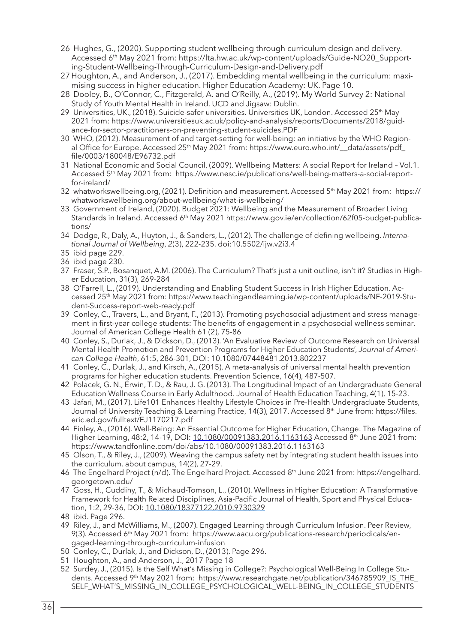- 26 Hughes, G., (2020). Supporting student wellbeing through curriculum design and delivery. Accessed 6<sup>th</sup> May 2021 from: https://lta.hw.ac.uk/wp-content/uploads/Guide-NO20\_Supporting-Student-Wellbeing-Through-Curriculum-Design-and-Delivery.pdf
- 27 Houghton, A., and Anderson, J., (2017). Embedding mental wellbeing in the curriculum: maximising success in higher education. Higher Education Academy: UK. Page 10.
- 28 Dooley, B., O'Connor, C., Fitzgerald, A. and O'Reilly, A., (2019). My World Survey 2: National Study of Youth Mental Health in Ireland. UCD and Jigsaw: Dublin.
- 29 Universities, UK., (2018). Suicide-safer universities. Universities UK, London. Accessed 25<sup>th</sup> May 2021 from: https://www.universitiesuk.ac.uk/policy-and-analysis/reports/Documents/2018/guidance-for-sector-practitioners-on-preventing-student-suicides.PDF
- 30 WHO, (2012). Measurement of and target-setting for well-being: an initiative by the WHO Regional Office for Europe. Accessed 25<sup>th</sup> May 2021 from: https://www.euro.who.int/\_data/assets/pdf\_ file/0003/180048/E96732.pdf
- 31 National Economic and Social Council, (2009). Wellbeing Matters: A social Report for Ireland Vol.1. Accessed 5th May 2021 from: https://www.nesc.ie/publications/well-being-matters-a-social-reportfor-ireland/
- 32 whatworkswellbeing.org, (2021). Definition and measurement. Accessed 5<sup>th</sup> May 2021 from: https:// whatworkswellbeing.org/about-wellbeing/what-is-wellbeing/
- 33 Government of Ireland, (2020). Budget 2021: Wellbeing and the Measurement of Broader Living Standards in Ireland. Accessed 6<sup>th</sup> May 2021 https://www.gov.ie/en/collection/62f05-budget-publications/
- 34 Dodge, R., Daly, A., Huyton, J., & Sanders, L., (2012). The challenge of defining wellbeing. *International Journal of Wellbeing*, *2*(3), 222-235. doi:10.5502/ijw.v2i3.4
- 35 ibid page 229.
- 36 ibid page 230.
- 37 Fraser, S.P., Bosanquet, A.M. (2006). The Curriculum? That's just a unit outline, isn't it? Studies in Higher Education, 31(3), 269-284
- 38 O'Farrell, L., (2019). Understanding and Enabling Student Success in Irish Higher Education. Accessed 25th May 2021 from: https://www.teachingandlearning.ie/wp-content/uploads/NF-2019-Student-Success-report-web-ready.pdf
- 39 Conley, C., Travers, L., and Bryant, F., (2013). Promoting psychosocial adjustment and stress management in first-year college students: The benefits of engagement in a psychosocial wellness seminar. Journal of American College Health 61 (2), 75-86
- 40 Conley, S., Durlak, J., & Dickson, D., (2013). 'An Evaluative Review of Outcome Research on Universal Mental Health Promotion and Prevention Programs for Higher Education Students', *Journal of American College Health*, 61:5, 286-301, DOI: 10.1080/07448481.2013.802237
- 41 Conley, C., Durlak, J., and Kirsch, A., (2015). A meta-analysis of universal mental health prevention programs for higher education students. Prevention Science, 16(4), 487-507.
- 42 Polacek, G. N., Erwin, T. D., & Rau, J. G. (2013). The Longitudinal Impact of an Undergraduate General Education Wellness Course in Early Adulthood. Journal of Health Education Teaching, 4(1), 15-23.
- 43 Jafari, M., (2017). Life101 Enhances Healthy Lifestyle Choices in Pre-Health Undergraduate Students, Journal of University Teaching & Learning Practice, 14(3), 2017. Accessed 8<sup>th</sup> June from: https://files. eric.ed.gov/fulltext/EJ1170217.pdf
- 44 Finley, A., (2016). Well-Being: An Essential Outcome for Higher Education, Change: The Magazine of Higher Learning, 48:2, 14-19, DOI: 10.1080/00091383.2016.1163163 Accessed 8<sup>th</sup> June 2021 from: https://www.tandfonline.com/doi/abs/10.1080/00091383.2016.1163163
- 45 Olson, T., & Riley, J., (2009). Weaving the campus safety net by integrating student health issues into the curriculum. about campus, 14(2), 27-29.
- 46 The Engelhard Project (n/d). The Engelhard Project. Accessed 8<sup>th</sup> June 2021 from: https://engelhard. georgetown.edu/
- 47 Goss, H., Cuddihy, T., & Michaud-Tomson, L., (2010). Wellness in Higher Education: A Transformative Framework for Health Related Disciplines, Asia-Pacific Journal of Health, Sport and Physical Education, 1:2, 29-36, DOI: 10.1080/18377122.2010.9730329
- 48 ibid. Page 296.
- 49 Riley, J., and McWilliams, M., (2007). Engaged Learning through Curriculum Infusion. Peer Review, 9(3). Accessed 6th May 2021 from: https://www.aacu.org/publications-research/periodicals/engaged-learning-through-curriculum-infusion
- 50 Conley, C., Durlak, J., and Dickson, D., (2013). Page 296.
- 51 Houghton, A., and Anderson, J., 2017 Page 18
- 52 Surdey, J., (2015). Is the Self What's Missing in College?: Psychological Well-Being In College Students. Accessed 9th May 2021 from: https://www.researchgate.net/publication/346785909\_IS\_THE\_ SELF\_WHAT'S\_MISSING\_IN\_COLLEGE\_PSYCHOLOGICAL\_WELL-BEING\_IN\_COLLEGE\_STUDENTS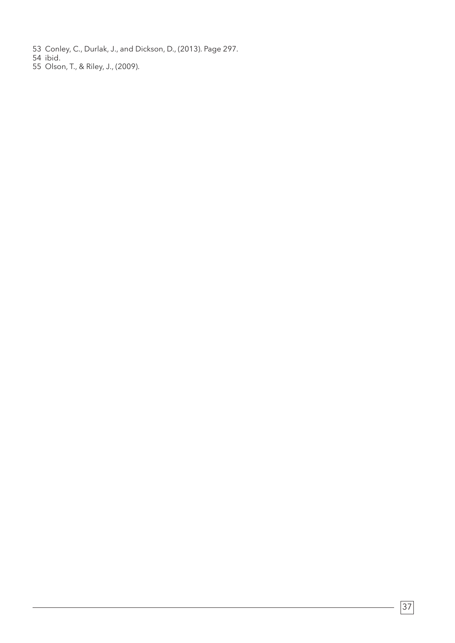- 53 Conley, C., Durlak, J., and Dickson, D., (2013). Page 297.
- 54 ibid.
- 55 Olson, T., & Riley, J., (2009).